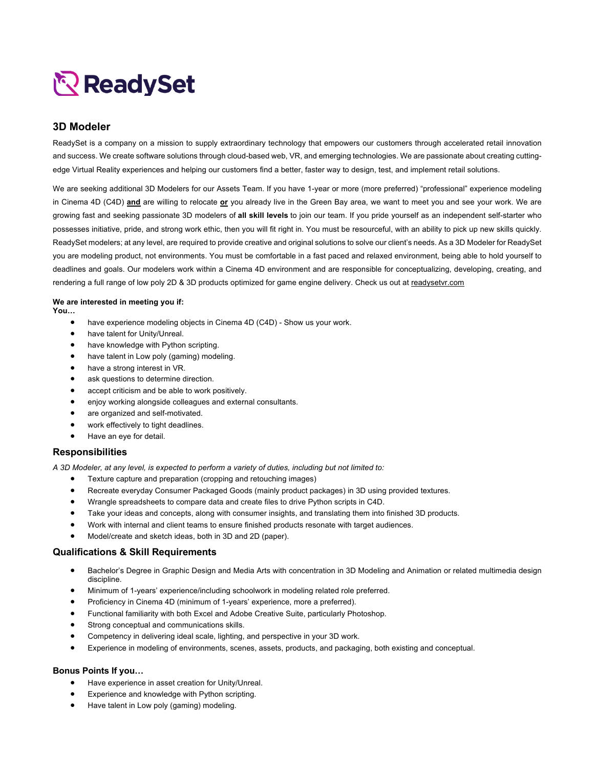# ReadySet

## **3D Modeler**

ReadySet is a company on a mission to supply extraordinary technology that empowers our customers through accelerated retail innovation and success. We create software solutions through cloud-based web, VR, and emerging technologies. We are passionate about creating cuttingedge Virtual Reality experiences and helping our customers find a better, faster way to design, test, and implement retail solutions.

We are seeking additional 3D Modelers for our Assets Team. If you have 1-year or more (more preferred) "professional" experience modeling in Cinema 4D (C4D) **and** are willing to relocate **or** you already live in the Green Bay area, we want to meet you and see your work. We are growing fast and seeking passionate 3D modelers of **all skill levels** to join our team. If you pride yourself as an independent self-starter who possesses initiative, pride, and strong work ethic, then you will fit right in. You must be resourceful, with an ability to pick up new skills quickly. ReadySet modelers; at any level, are required to provide creative and original solutions to solve our client's needs. As a 3D Modeler for ReadySet you are modeling product, not environments. You must be comfortable in a fast paced and relaxed environment, being able to hold yourself to deadlines and goals. Our modelers work within a Cinema 4D environment and are responsible for conceptualizing, developing, creating, and rendering a full range of low poly 2D & 3D products optimized for game engine delivery. Check us out at readysetvr.com

#### **We are interested in meeting you if:**

**You…**

- have experience modeling objects in Cinema 4D (C4D) Show us your work.
- have talent for Unity/Unreal.
- have knowledge with Python scripting.
- have talent in Low poly (gaming) modeling.
- have a strong interest in VR.
- ask questions to determine direction.
- accept criticism and be able to work positively.
- enjoy working alongside colleagues and external consultants.
- are organized and self-motivated.
- work effectively to tight deadlines.
- Have an eye for detail.

## **Responsibilities**

*A 3D Modeler, at any level, is expected to perform a variety of duties, including but not limited to:*

- Texture capture and preparation (cropping and retouching images)
- Recreate everyday Consumer Packaged Goods (mainly product packages) in 3D using provided textures.
- Wrangle spreadsheets to compare data and create files to drive Python scripts in C4D.
- Take your ideas and concepts, along with consumer insights, and translating them into finished 3D products.
- Work with internal and client teams to ensure finished products resonate with target audiences.
- Model/create and sketch ideas, both in 3D and 2D (paper).

## **Qualifications & Skill Requirements**

- Bachelor's Degree in Graphic Design and Media Arts with concentration in 3D Modeling and Animation or related multimedia design discipline.
- Minimum of 1-years' experience/including schoolwork in modeling related role preferred.
- Proficiency in Cinema 4D (minimum of 1-years' experience, more a preferred).
- Functional familiarity with both Excel and Adobe Creative Suite, particularly Photoshop.
- Strong conceptual and communications skills.
- Competency in delivering ideal scale, lighting, and perspective in your 3D work.
- Experience in modeling of environments, scenes, assets, products, and packaging, both existing and conceptual.

#### **Bonus Points If you…**

- Have experience in asset creation for Unity/Unreal.
- Experience and knowledge with Python scripting.
- Have talent in Low poly (gaming) modeling.